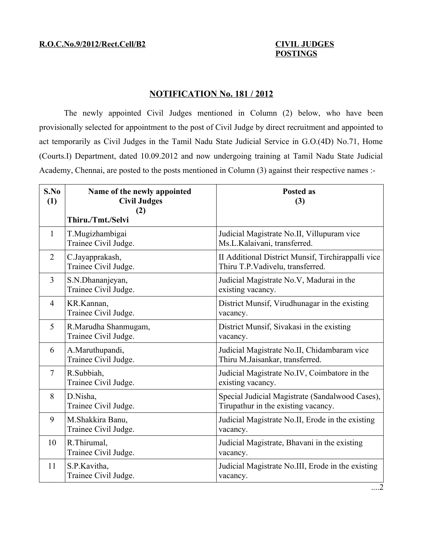## **POSTINGS**

## **NOTIFICATION No. 181 / 2012**

The newly appointed Civil Judges mentioned in Column (2) below, who have been provisionally selected for appointment to the post of Civil Judge by direct recruitment and appointed to act temporarily as Civil Judges in the Tamil Nadu State Judicial Service in G.O.(4D) No.71, Home (Courts.I) Department, dated 10.09.2012 and now undergoing training at Tamil Nadu State Judicial Academy, Chennai, are posted to the posts mentioned in Column (3) against their respective names :-

| S.No<br>(1)    | Name of the newly appointed<br><b>Civil Judges</b><br>(2) | <b>Posted as</b><br>(3)                                                                |
|----------------|-----------------------------------------------------------|----------------------------------------------------------------------------------------|
|                | Thiru./Tmt./Selvi                                         |                                                                                        |
| 1              | T.Mugizhambigai<br>Trainee Civil Judge.                   | Judicial Magistrate No.II, Villupuram vice<br>Ms.L.Kalaivani, transferred.             |
| $\overline{2}$ | C.Jayapprakash,<br>Trainee Civil Judge.                   | II Additional District Munsif, Tirchirappalli vice<br>Thiru T.P.Vadivelu, transferred. |
| $\overline{3}$ | S.N.Dhananjeyan,<br>Trainee Civil Judge.                  | Judicial Magistrate No.V, Madurai in the<br>existing vacancy.                          |
| $\overline{4}$ | KR.Kannan,<br>Trainee Civil Judge.                        | District Munsif, Virudhunagar in the existing<br>vacancy.                              |
| 5              | R.Marudha Shanmugam,<br>Trainee Civil Judge.              | District Munsif, Sivakasi in the existing<br>vacancy.                                  |
| 6              | A.Maruthupandi,<br>Trainee Civil Judge.                   | Judicial Magistrate No.II, Chidambaram vice<br>Thiru M.Jaisankar, transferred.         |
| $\tau$         | R.Subbiah,<br>Trainee Civil Judge.                        | Judicial Magistrate No.IV, Coimbatore in the<br>existing vacancy.                      |
| 8              | D.Nisha,<br>Trainee Civil Judge.                          | Special Judicial Magistrate (Sandalwood Cases),<br>Tirupathur in the existing vacancy. |
| 9              | M.Shakkira Banu,<br>Trainee Civil Judge.                  | Judicial Magistrate No.II, Erode in the existing<br>vacancy.                           |
| 10             | R.Thirumal.<br>Trainee Civil Judge.                       | Judicial Magistrate, Bhavani in the existing<br>vacancy.                               |
| 11             | S.P.Kavitha,<br>Trainee Civil Judge.                      | Judicial Magistrate No.III, Erode in the existing<br>vacancy.                          |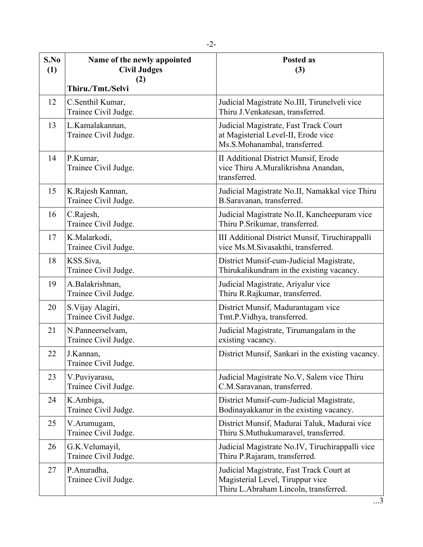| S.No<br>(1) | Name of the newly appointed<br><b>Civil Judges</b><br>(2) | <b>Posted as</b><br>(3)                                                                                               |
|-------------|-----------------------------------------------------------|-----------------------------------------------------------------------------------------------------------------------|
|             | Thiru./Tmt./Selvi                                         |                                                                                                                       |
| 12          | C.Senthil Kumar,<br>Trainee Civil Judge.                  | Judicial Magistrate No.III, Tirunelveli vice<br>Thiru J.Venkatesan, transferred.                                      |
| 13          | L.Kamalakannan,<br>Trainee Civil Judge.                   | Judicial Magistrate, Fast Track Court<br>at Magisterial Level-II, Erode vice<br>Ms.S.Mohanambal, transferred.         |
| 14          | P.Kumar,<br>Trainee Civil Judge.                          | II Additional District Munsif, Erode<br>vice Thiru A.Muralikrishna Anandan,<br>transferred.                           |
| 15          | K.Rajesh Kannan,<br>Trainee Civil Judge.                  | Judicial Magistrate No.II, Namakkal vice Thiru<br>B.Saravanan, transferred.                                           |
| 16          | C.Rajesh,<br>Trainee Civil Judge.                         | Judicial Magistrate No.II, Kancheepuram vice<br>Thiru P.Srikumar, transferred.                                        |
| 17          | K.Malarkodi,<br>Trainee Civil Judge.                      | III Additional District Munsif, Tiruchirappalli<br>vice Ms.M.Sivasakthi, transferred.                                 |
| 18          | KSS.Siva,<br>Trainee Civil Judge.                         | District Munsif-cum-Judicial Magistrate,<br>Thirukalikundram in the existing vacancy.                                 |
| 19          | A.Balakrishnan,<br>Trainee Civil Judge.                   | Judicial Magistrate, Ariyalur vice<br>Thiru R.Rajkumar, transferred.                                                  |
| 20          | S. Vijay Alagiri,<br>Trainee Civil Judge.                 | District Munsif, Madurantagam vice<br>Tmt.P.Vidhya, transferred.                                                      |
| 21          | N.Panneerselvam,<br>Trainee Civil Judge.                  | Judicial Magistrate, Tirumangalam in the<br>existing vacancy.                                                         |
| 22          | J.Kannan,<br>Trainee Civil Judge.                         | District Munsif, Sankari in the existing vacancy.                                                                     |
| 23          | V.Puviyarasu,<br>Trainee Civil Judge.                     | Judicial Magistrate No.V, Salem vice Thiru<br>C.M.Saravanan, transferred.                                             |
| 24          | K.Ambiga,<br>Trainee Civil Judge.                         | District Munsif-cum-Judicial Magistrate,<br>Bodinayakkanur in the existing vacancy.                                   |
| 25          | V.Arumugam,<br>Trainee Civil Judge.                       | District Munsif, Madurai Taluk, Madurai vice<br>Thiru S.Muthukumaravel, transferred.                                  |
| 26          | G.K.Velumayil,<br>Trainee Civil Judge.                    | Judicial Magistrate No.IV, Tiruchirappalli vice<br>Thiru P.Rajaram, transferred.                                      |
| 27          | P.Anuradha,<br>Trainee Civil Judge.                       | Judicial Magistrate, Fast Track Court at<br>Magisterial Level, Tiruppur vice<br>Thiru L.Abraham Lincoln, transferred. |